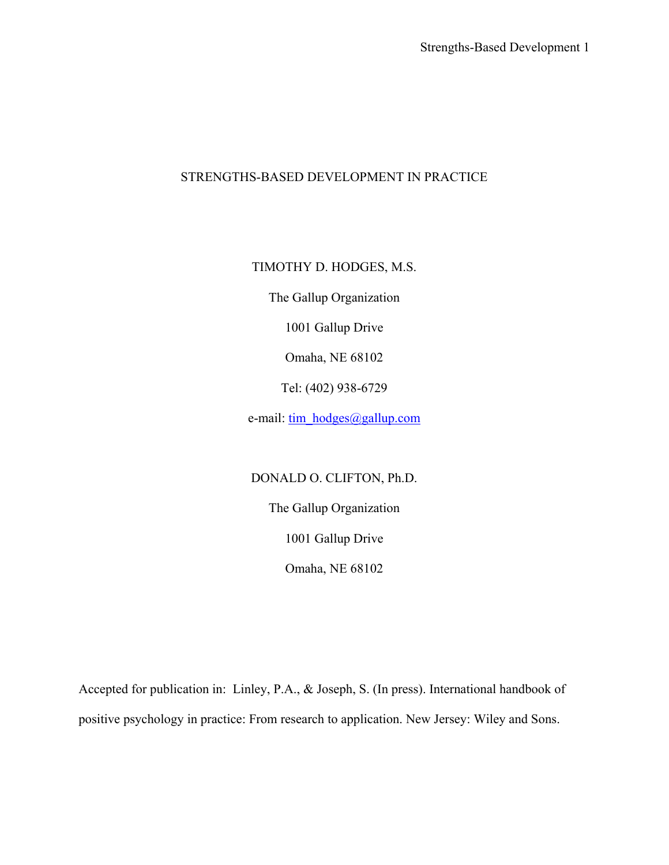# STRENGTHS-BASED DEVELOPMENT IN PRACTICE

# TIMOTHY D. HODGES, M.S.

The Gallup Organization

1001 Gallup Drive

Omaha, NE 68102

Tel: (402) 938-6729

e-mail: [tim\\_hodges@gallup.com](mailto:tim_hodges@gallup.com)

# DONALD O. CLIFTON, Ph.D.

The Gallup Organization

1001 Gallup Drive

Omaha, NE 68102

Accepted for publication in: Linley, P.A., & Joseph, S. (In press). International handbook of positive psychology in practice: From research to application. New Jersey: Wiley and Sons.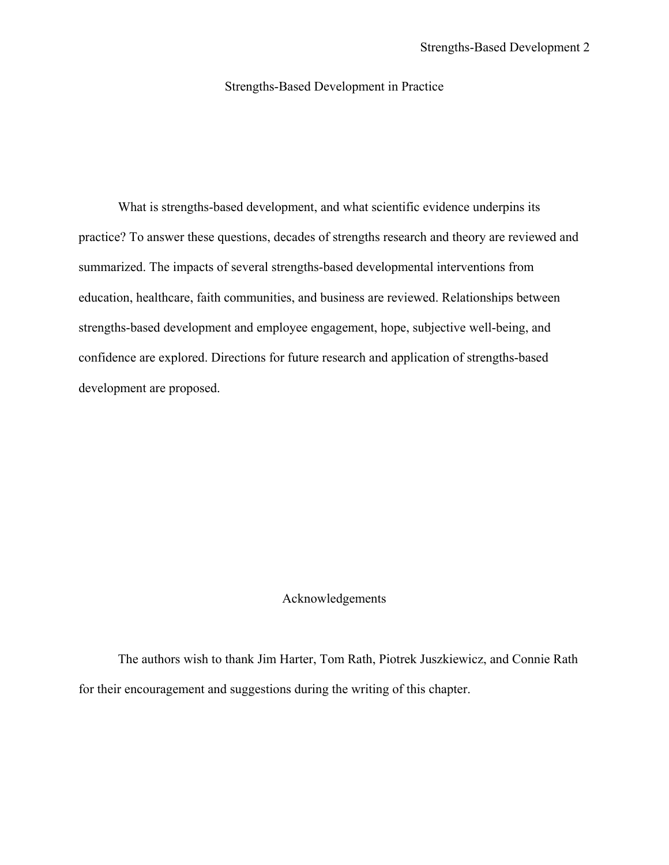# Strengths-Based Development in Practice

 What is strengths-based development, and what scientific evidence underpins its practice? To answer these questions, decades of strengths research and theory are reviewed and summarized. The impacts of several strengths-based developmental interventions from education, healthcare, faith communities, and business are reviewed. Relationships between strengths-based development and employee engagement, hope, subjective well-being, and confidence are explored. Directions for future research and application of strengths-based development are proposed.

### Acknowledgements

 The authors wish to thank Jim Harter, Tom Rath, Piotrek Juszkiewicz, and Connie Rath for their encouragement and suggestions during the writing of this chapter.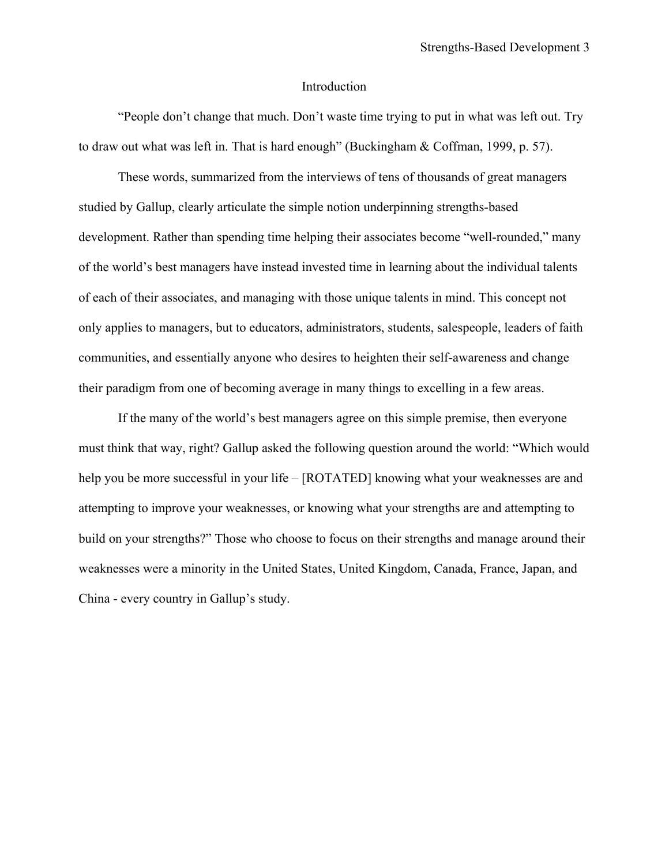#### Introduction

 "People don't change that much. Don't waste time trying to put in what was left out. Try to draw out what was left in. That is hard enough" (Buckingham & Coffman, 1999, p. 57).

 These words, summarized from the interviews of tens of thousands of great managers studied by Gallup, clearly articulate the simple notion underpinning strengths-based development. Rather than spending time helping their associates become "well-rounded," many of the world's best managers have instead invested time in learning about the individual talents of each of their associates, and managing with those unique talents in mind. This concept not only applies to managers, but to educators, administrators, students, salespeople, leaders of faith communities, and essentially anyone who desires to heighten their self-awareness and change their paradigm from one of becoming average in many things to excelling in a few areas.

If the many of the world's best managers agree on this simple premise, then everyone must think that way, right? Gallup asked the following question around the world: "Which would help you be more successful in your life – [ROTATED] knowing what your weaknesses are and attempting to improve your weaknesses, or knowing what your strengths are and attempting to build on your strengths?" Those who choose to focus on their strengths and manage around their weaknesses were a minority in the United States, United Kingdom, Canada, France, Japan, and China - every country in Gallup's study.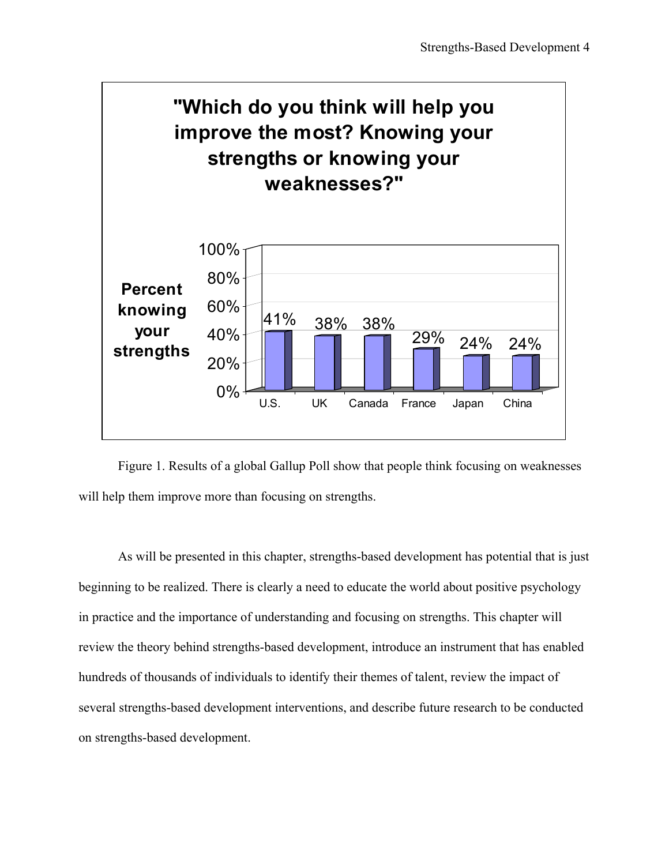

Figure 1. Results of a global Gallup Poll show that people think focusing on weaknesses will help them improve more than focusing on strengths.

As will be presented in this chapter, strengths-based development has potential that is just beginning to be realized. There is clearly a need to educate the world about positive psychology in practice and the importance of understanding and focusing on strengths. This chapter will review the theory behind strengths-based development, introduce an instrument that has enabled hundreds of thousands of individuals to identify their themes of talent, review the impact of several strengths-based development interventions, and describe future research to be conducted on strengths-based development.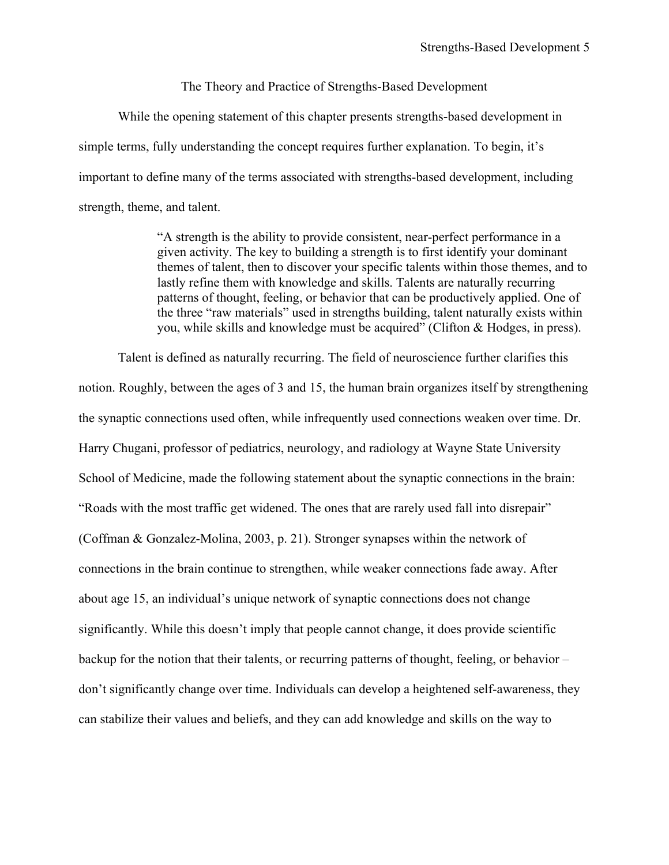### The Theory and Practice of Strengths-Based Development

 While the opening statement of this chapter presents strengths-based development in simple terms, fully understanding the concept requires further explanation. To begin, it's important to define many of the terms associated with strengths-based development, including strength, theme, and talent.

> "A strength is the ability to provide consistent, near-perfect performance in a given activity. The key to building a strength is to first identify your dominant themes of talent, then to discover your specific talents within those themes, and to lastly refine them with knowledge and skills. Talents are naturally recurring patterns of thought, feeling, or behavior that can be productively applied. One of the three "raw materials" used in strengths building, talent naturally exists within you, while skills and knowledge must be acquired" (Clifton & Hodges, in press).

Talent is defined as naturally recurring. The field of neuroscience further clarifies this notion. Roughly, between the ages of 3 and 15, the human brain organizes itself by strengthening the synaptic connections used often, while infrequently used connections weaken over time. Dr. Harry Chugani, professor of pediatrics, neurology, and radiology at Wayne State University School of Medicine, made the following statement about the synaptic connections in the brain: "Roads with the most traffic get widened. The ones that are rarely used fall into disrepair" (Coffman & Gonzalez-Molina, 2003, p. 21). Stronger synapses within the network of connections in the brain continue to strengthen, while weaker connections fade away. After about age 15, an individual's unique network of synaptic connections does not change significantly. While this doesn't imply that people cannot change, it does provide scientific backup for the notion that their talents, or recurring patterns of thought, feeling, or behavior – don't significantly change over time. Individuals can develop a heightened self-awareness, they can stabilize their values and beliefs, and they can add knowledge and skills on the way to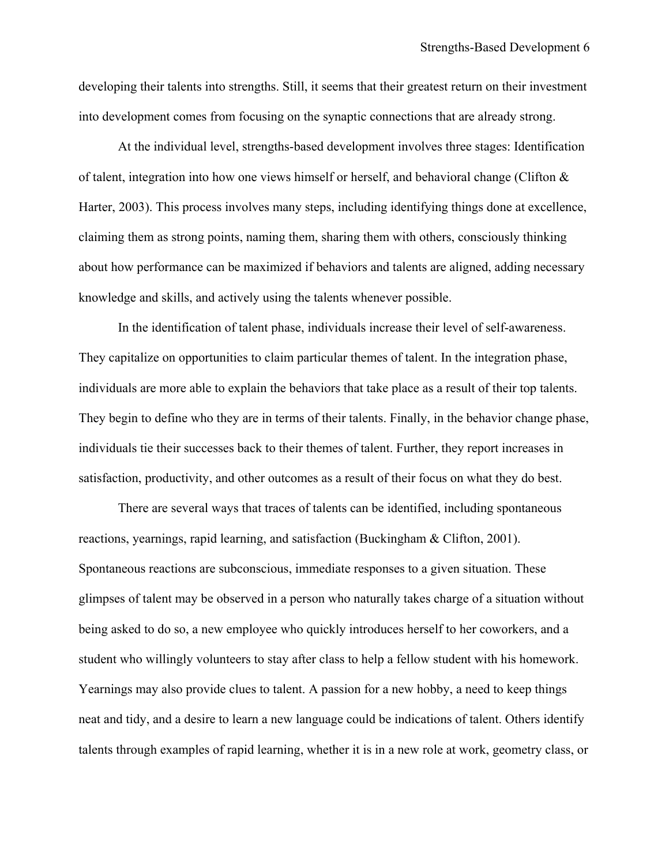developing their talents into strengths. Still, it seems that their greatest return on their investment into development comes from focusing on the synaptic connections that are already strong.

 At the individual level, strengths-based development involves three stages: Identification of talent, integration into how one views himself or herself, and behavioral change (Clifton & Harter, 2003). This process involves many steps, including identifying things done at excellence, claiming them as strong points, naming them, sharing them with others, consciously thinking about how performance can be maximized if behaviors and talents are aligned, adding necessary knowledge and skills, and actively using the talents whenever possible.

 In the identification of talent phase, individuals increase their level of self-awareness. They capitalize on opportunities to claim particular themes of talent. In the integration phase, individuals are more able to explain the behaviors that take place as a result of their top talents. They begin to define who they are in terms of their talents. Finally, in the behavior change phase, individuals tie their successes back to their themes of talent. Further, they report increases in satisfaction, productivity, and other outcomes as a result of their focus on what they do best.

 There are several ways that traces of talents can be identified, including spontaneous reactions, yearnings, rapid learning, and satisfaction (Buckingham & Clifton, 2001). Spontaneous reactions are subconscious, immediate responses to a given situation. These glimpses of talent may be observed in a person who naturally takes charge of a situation without being asked to do so, a new employee who quickly introduces herself to her coworkers, and a student who willingly volunteers to stay after class to help a fellow student with his homework. Yearnings may also provide clues to talent. A passion for a new hobby, a need to keep things neat and tidy, and a desire to learn a new language could be indications of talent. Others identify talents through examples of rapid learning, whether it is in a new role at work, geometry class, or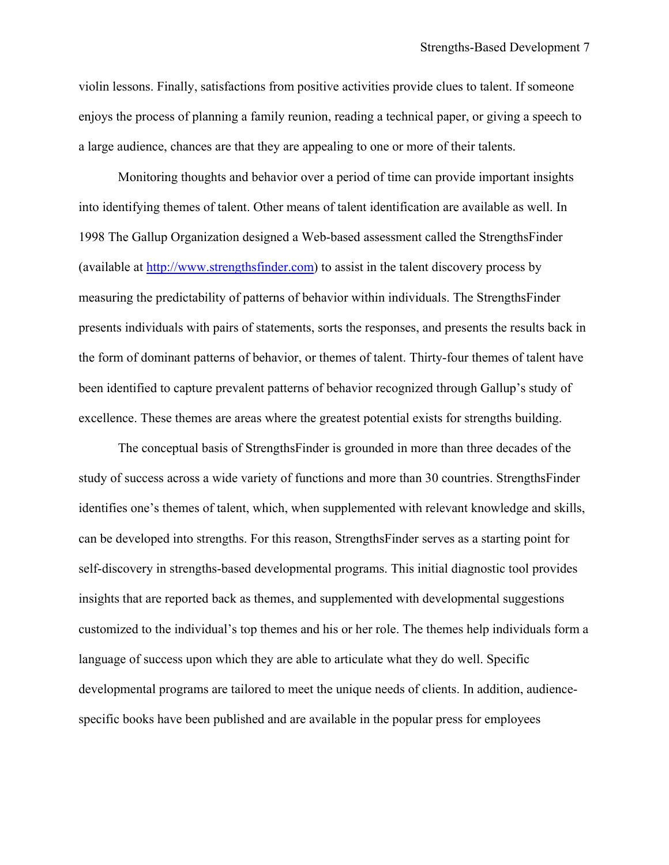violin lessons. Finally, satisfactions from positive activities provide clues to talent. If someone enjoys the process of planning a family reunion, reading a technical paper, or giving a speech to a large audience, chances are that they are appealing to one or more of their talents.

 Monitoring thoughts and behavior over a period of time can provide important insights into identifying themes of talent. Other means of talent identification are available as well. In 1998 The Gallup Organization designed a Web-based assessment called the StrengthsFinder (available at [http://www.strengthsfinder.com](http://www.strengthsfinder.com/)) to assist in the talent discovery process by measuring the predictability of patterns of behavior within individuals. The StrengthsFinder presents individuals with pairs of statements, sorts the responses, and presents the results back in the form of dominant patterns of behavior, or themes of talent. Thirty-four themes of talent have been identified to capture prevalent patterns of behavior recognized through Gallup's study of excellence. These themes are areas where the greatest potential exists for strengths building.

 The conceptual basis of StrengthsFinder is grounded in more than three decades of the study of success across a wide variety of functions and more than 30 countries. StrengthsFinder identifies one's themes of talent, which, when supplemented with relevant knowledge and skills, can be developed into strengths. For this reason, StrengthsFinder serves as a starting point for self-discovery in strengths-based developmental programs. This initial diagnostic tool provides insights that are reported back as themes, and supplemented with developmental suggestions customized to the individual's top themes and his or her role. The themes help individuals form a language of success upon which they are able to articulate what they do well. Specific developmental programs are tailored to meet the unique needs of clients. In addition, audiencespecific books have been published and are available in the popular press for employees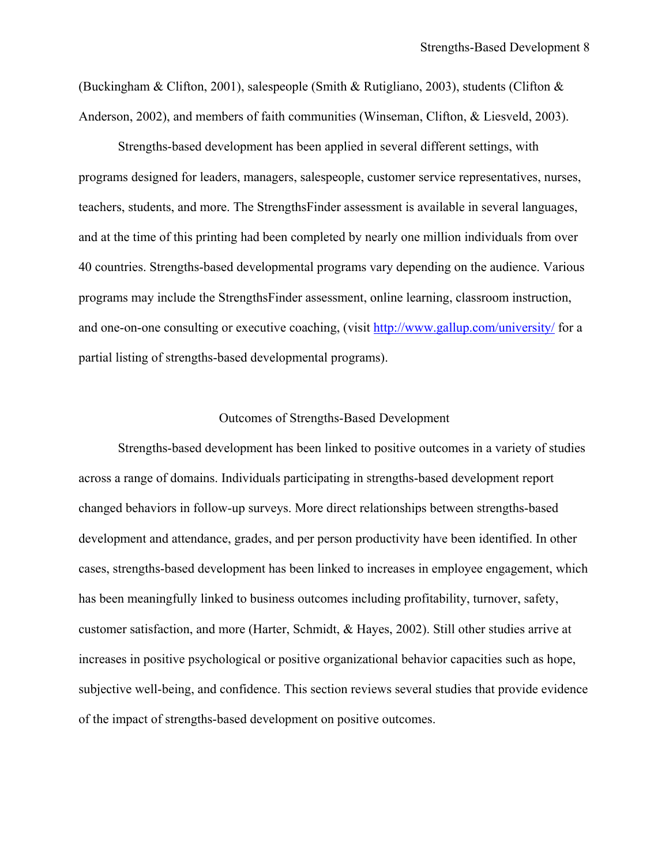(Buckingham & Clifton, 2001), salespeople (Smith & Rutigliano, 2003), students (Clifton & Anderson, 2002), and members of faith communities (Winseman, Clifton, & Liesveld, 2003).

 Strengths-based development has been applied in several different settings, with programs designed for leaders, managers, salespeople, customer service representatives, nurses, teachers, students, and more. The StrengthsFinder assessment is available in several languages, and at the time of this printing had been completed by nearly one million individuals from over 40 countries. Strengths-based developmental programs vary depending on the audience. Various programs may include the StrengthsFinder assessment, online learning, classroom instruction, and one-on-one consulting or executive coaching, (visit <http://www.gallup.com/university/>for a partial listing of strengths-based developmental programs).

### Outcomes of Strengths-Based Development

 Strengths-based development has been linked to positive outcomes in a variety of studies across a range of domains. Individuals participating in strengths-based development report changed behaviors in follow-up surveys. More direct relationships between strengths-based development and attendance, grades, and per person productivity have been identified. In other cases, strengths-based development has been linked to increases in employee engagement, which has been meaningfully linked to business outcomes including profitability, turnover, safety, customer satisfaction, and more (Harter, Schmidt, & Hayes, 2002). Still other studies arrive at increases in positive psychological or positive organizational behavior capacities such as hope, subjective well-being, and confidence. This section reviews several studies that provide evidence of the impact of strengths-based development on positive outcomes.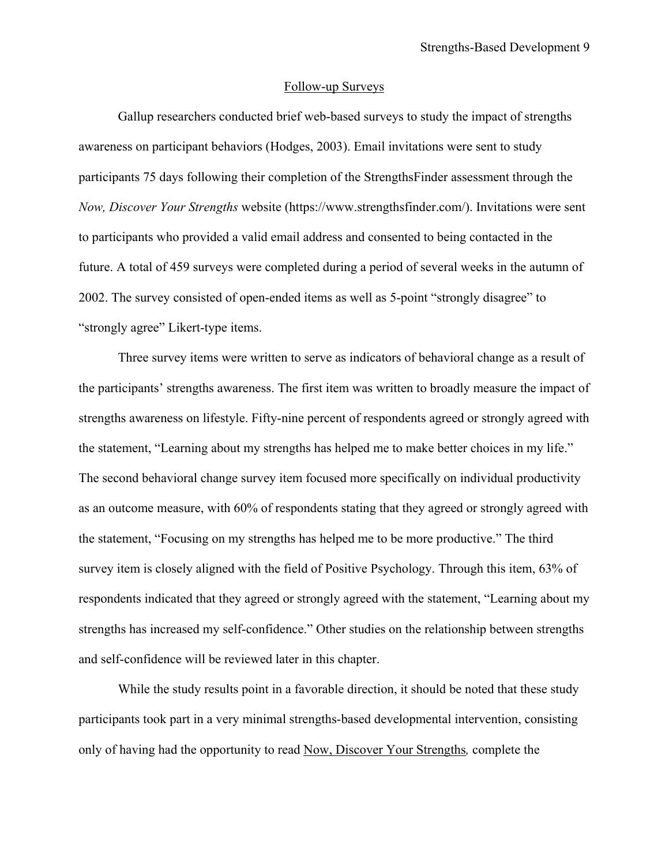### Follow-up Surveys

 Gallup researchers conducted brief web-based surveys to study the impact of strengths awareness on participant behaviors (Hodges, 2003). Email invitations were sent to study participants 75 days following their completion of the StrengthsFinder assessment through the *Now, Discover Your Strengths* website (https://www.strengthsfinder.com/). Invitations were sent to participants who provided a valid email address and consented to being contacted in the future. A total of 459 surveys were completed during a period of several weeks in the autumn of 2002. The survey consisted of open-ended items as well as 5-point "strongly disagree" to "strongly agree" Likert-type items.

Three survey items were written to serve as indicators of behavioral change as a result of the participants' strengths awareness. The first item was written to broadly measure the impact of strengths awareness on lifestyle. Fifty-nine percent of respondents agreed or strongly agreed with the statement, "Learning about my strengths has helped me to make better choices in my life." The second behavioral change survey item focused more specifically on individual productivity as an outcome measure, with 60% of respondents stating that they agreed or strongly agreed with the statement, "Focusing on my strengths has helped me to be more productive." The third survey item is closely aligned with the field of Positive Psychology. Through this item, 63% of respondents indicated that they agreed or strongly agreed with the statement, "Learning about my strengths has increased my self-confidence." Other studies on the relationship between strengths and self-confidence will be reviewed later in this chapter.

While the study results point in a favorable direction, it should be noted that these study participants took part in a very minimal strengths-based developmental intervention, consisting only of having had the opportunity to read Now, Discover Your Strengths*,* complete the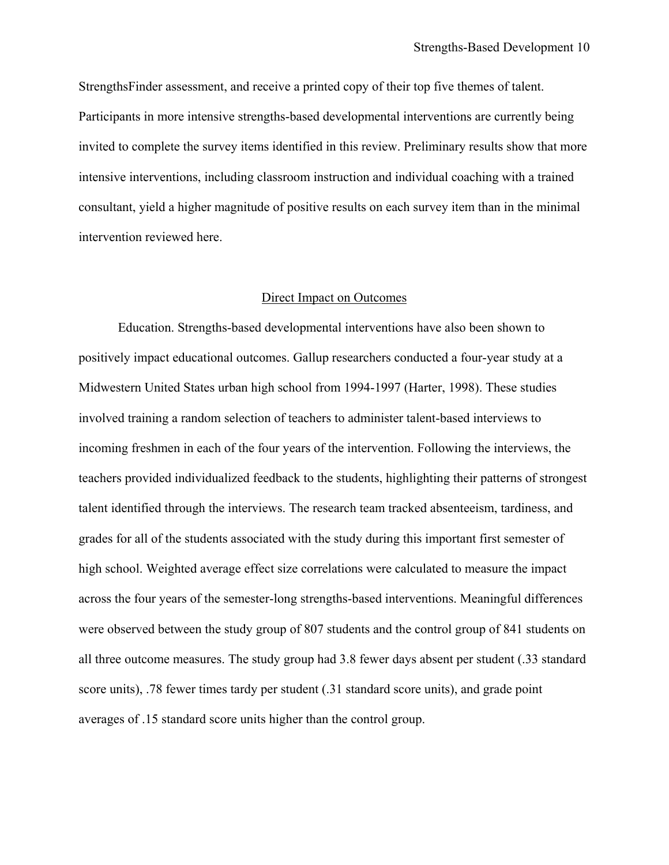StrengthsFinder assessment, and receive a printed copy of their top five themes of talent. Participants in more intensive strengths-based developmental interventions are currently being invited to complete the survey items identified in this review. Preliminary results show that more intensive interventions, including classroom instruction and individual coaching with a trained consultant, yield a higher magnitude of positive results on each survey item than in the minimal intervention reviewed here.

#### Direct Impact on Outcomes

 Education. Strengths-based developmental interventions have also been shown to positively impact educational outcomes. Gallup researchers conducted a four-year study at a Midwestern United States urban high school from 1994-1997 (Harter, 1998). These studies involved training a random selection of teachers to administer talent-based interviews to incoming freshmen in each of the four years of the intervention. Following the interviews, the teachers provided individualized feedback to the students, highlighting their patterns of strongest talent identified through the interviews. The research team tracked absenteeism, tardiness, and grades for all of the students associated with the study during this important first semester of high school. Weighted average effect size correlations were calculated to measure the impact across the four years of the semester-long strengths-based interventions. Meaningful differences were observed between the study group of 807 students and the control group of 841 students on all three outcome measures. The study group had 3.8 fewer days absent per student (.33 standard score units), .78 fewer times tardy per student (.31 standard score units), and grade point averages of .15 standard score units higher than the control group.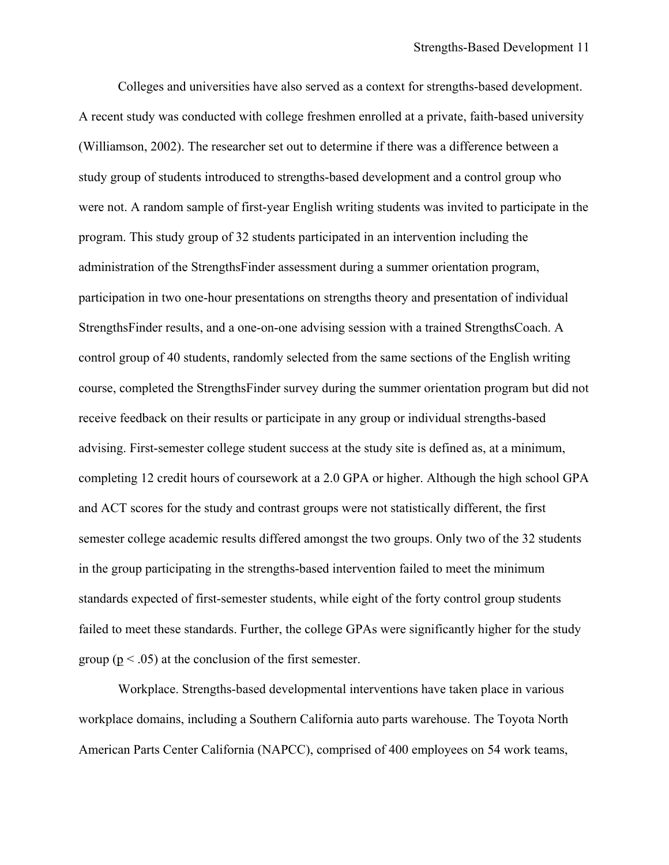Colleges and universities have also served as a context for strengths-based development. A recent study was conducted with college freshmen enrolled at a private, faith-based university (Williamson, 2002). The researcher set out to determine if there was a difference between a study group of students introduced to strengths-based development and a control group who were not. A random sample of first-year English writing students was invited to participate in the program. This study group of 32 students participated in an intervention including the administration of the StrengthsFinder assessment during a summer orientation program, participation in two one-hour presentations on strengths theory and presentation of individual StrengthsFinder results, and a one-on-one advising session with a trained StrengthsCoach. A control group of 40 students, randomly selected from the same sections of the English writing course, completed the StrengthsFinder survey during the summer orientation program but did not receive feedback on their results or participate in any group or individual strengths-based advising. First-semester college student success at the study site is defined as, at a minimum, completing 12 credit hours of coursework at a 2.0 GPA or higher. Although the high school GPA and ACT scores for the study and contrast groups were not statistically different, the first semester college academic results differed amongst the two groups. Only two of the 32 students in the group participating in the strengths-based intervention failed to meet the minimum standards expected of first-semester students, while eight of the forty control group students failed to meet these standards. Further, the college GPAs were significantly higher for the study group ( $p < .05$ ) at the conclusion of the first semester.

 Workplace. Strengths-based developmental interventions have taken place in various workplace domains, including a Southern California auto parts warehouse. The Toyota North American Parts Center California (NAPCC), comprised of 400 employees on 54 work teams,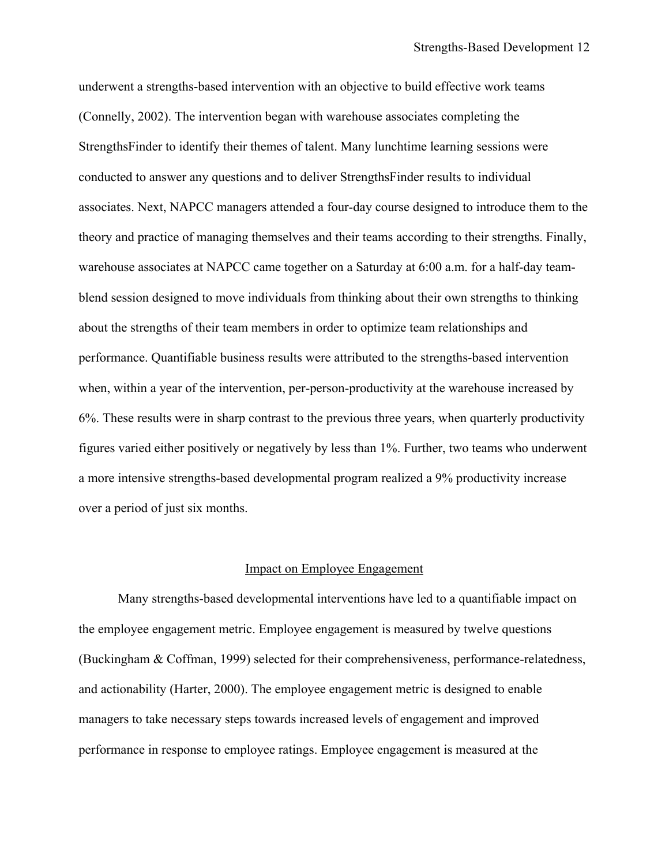underwent a strengths-based intervention with an objective to build effective work teams (Connelly, 2002). The intervention began with warehouse associates completing the StrengthsFinder to identify their themes of talent. Many lunchtime learning sessions were conducted to answer any questions and to deliver StrengthsFinder results to individual associates. Next, NAPCC managers attended a four-day course designed to introduce them to the theory and practice of managing themselves and their teams according to their strengths. Finally, warehouse associates at NAPCC came together on a Saturday at 6:00 a.m. for a half-day teamblend session designed to move individuals from thinking about their own strengths to thinking about the strengths of their team members in order to optimize team relationships and performance. Quantifiable business results were attributed to the strengths-based intervention when, within a year of the intervention, per-person-productivity at the warehouse increased by 6%. These results were in sharp contrast to the previous three years, when quarterly productivity figures varied either positively or negatively by less than 1%. Further, two teams who underwent a more intensive strengths-based developmental program realized a 9% productivity increase over a period of just six months.

#### Impact on Employee Engagement

 Many strengths-based developmental interventions have led to a quantifiable impact on the employee engagement metric. Employee engagement is measured by twelve questions (Buckingham & Coffman, 1999) selected for their comprehensiveness, performance-relatedness, and actionability (Harter, 2000). The employee engagement metric is designed to enable managers to take necessary steps towards increased levels of engagement and improved performance in response to employee ratings. Employee engagement is measured at the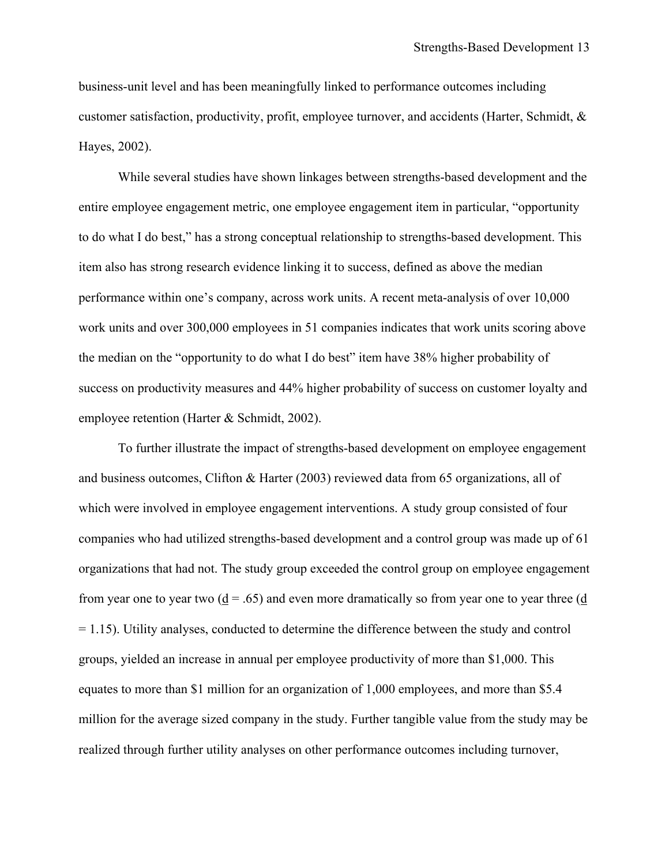business-unit level and has been meaningfully linked to performance outcomes including customer satisfaction, productivity, profit, employee turnover, and accidents (Harter, Schmidt, & Hayes, 2002).

While several studies have shown linkages between strengths-based development and the entire employee engagement metric, one employee engagement item in particular, "opportunity to do what I do best," has a strong conceptual relationship to strengths-based development. This item also has strong research evidence linking it to success, defined as above the median performance within one's company, across work units. A recent meta-analysis of over 10,000 work units and over 300,000 employees in 51 companies indicates that work units scoring above the median on the "opportunity to do what I do best" item have 38% higher probability of success on productivity measures and 44% higher probability of success on customer loyalty and employee retention (Harter & Schmidt, 2002).

To further illustrate the impact of strengths-based development on employee engagement and business outcomes, Clifton & Harter (2003) reviewed data from 65 organizations, all of which were involved in employee engagement interventions. A study group consisted of four companies who had utilized strengths-based development and a control group was made up of 61 organizations that had not. The study group exceeded the control group on employee engagement from year one to year two  $(d = .65)$  and even more dramatically so from year one to year three (d)  $= 1.15$ ). Utility analyses, conducted to determine the difference between the study and control groups, yielded an increase in annual per employee productivity of more than \$1,000. This equates to more than \$1 million for an organization of 1,000 employees, and more than \$5.4 million for the average sized company in the study. Further tangible value from the study may be realized through further utility analyses on other performance outcomes including turnover,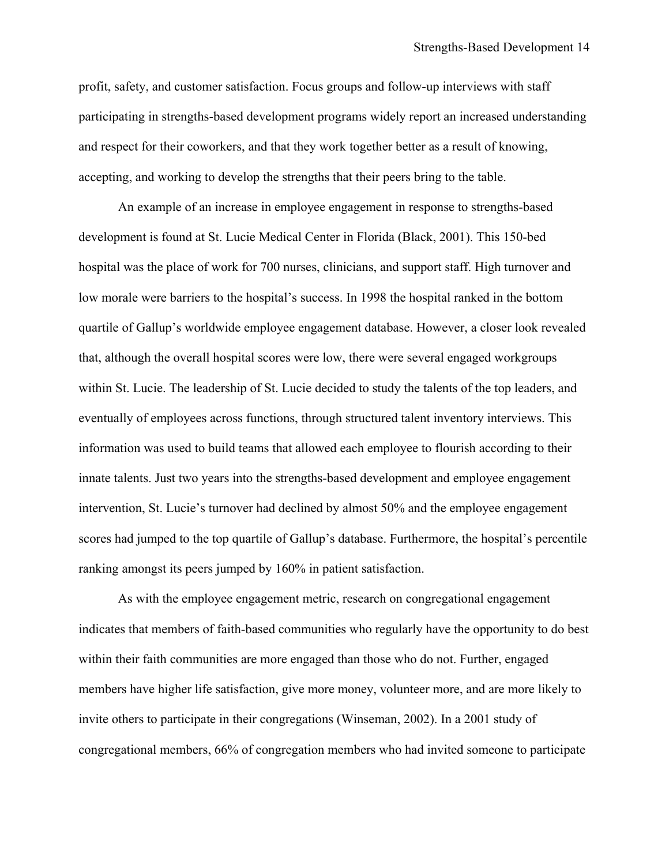profit, safety, and customer satisfaction. Focus groups and follow-up interviews with staff participating in strengths-based development programs widely report an increased understanding and respect for their coworkers, and that they work together better as a result of knowing, accepting, and working to develop the strengths that their peers bring to the table.

 An example of an increase in employee engagement in response to strengths-based development is found at St. Lucie Medical Center in Florida (Black, 2001). This 150-bed hospital was the place of work for 700 nurses, clinicians, and support staff. High turnover and low morale were barriers to the hospital's success. In 1998 the hospital ranked in the bottom quartile of Gallup's worldwide employee engagement database. However, a closer look revealed that, although the overall hospital scores were low, there were several engaged workgroups within St. Lucie. The leadership of St. Lucie decided to study the talents of the top leaders, and eventually of employees across functions, through structured talent inventory interviews. This information was used to build teams that allowed each employee to flourish according to their innate talents. Just two years into the strengths-based development and employee engagement intervention, St. Lucie's turnover had declined by almost 50% and the employee engagement scores had jumped to the top quartile of Gallup's database. Furthermore, the hospital's percentile ranking amongst its peers jumped by 160% in patient satisfaction.

 As with the employee engagement metric, research on congregational engagement indicates that members of faith-based communities who regularly have the opportunity to do best within their faith communities are more engaged than those who do not. Further, engaged members have higher life satisfaction, give more money, volunteer more, and are more likely to invite others to participate in their congregations (Winseman, 2002). In a 2001 study of congregational members, 66% of congregation members who had invited someone to participate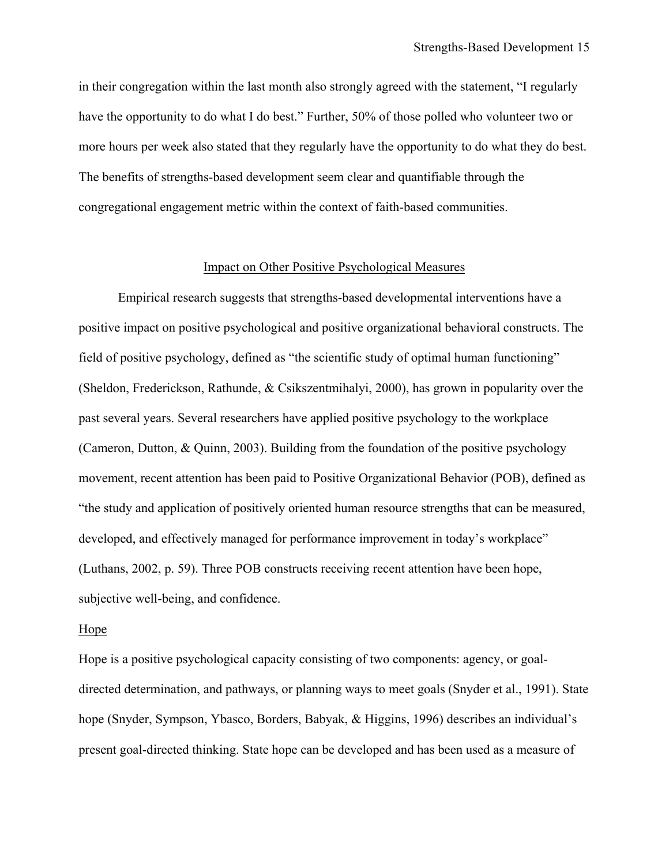in their congregation within the last month also strongly agreed with the statement, "I regularly have the opportunity to do what I do best." Further, 50% of those polled who volunteer two or more hours per week also stated that they regularly have the opportunity to do what they do best. The benefits of strengths-based development seem clear and quantifiable through the congregational engagement metric within the context of faith-based communities.

### Impact on Other Positive Psychological Measures

 Empirical research suggests that strengths-based developmental interventions have a positive impact on positive psychological and positive organizational behavioral constructs. The field of positive psychology, defined as "the scientific study of optimal human functioning" (Sheldon, Frederickson, Rathunde, & Csikszentmihalyi, 2000), has grown in popularity over the past several years. Several researchers have applied positive psychology to the workplace (Cameron, Dutton, & Quinn, 2003). Building from the foundation of the positive psychology movement, recent attention has been paid to Positive Organizational Behavior (POB), defined as "the study and application of positively oriented human resource strengths that can be measured, developed, and effectively managed for performance improvement in today's workplace" (Luthans, 2002, p. 59). Three POB constructs receiving recent attention have been hope, subjective well-being, and confidence.

#### Hope

Hope is a positive psychological capacity consisting of two components: agency, or goaldirected determination, and pathways, or planning ways to meet goals (Snyder et al., 1991). State hope (Snyder, Sympson, Ybasco, Borders, Babyak, & Higgins, 1996) describes an individual's present goal-directed thinking. State hope can be developed and has been used as a measure of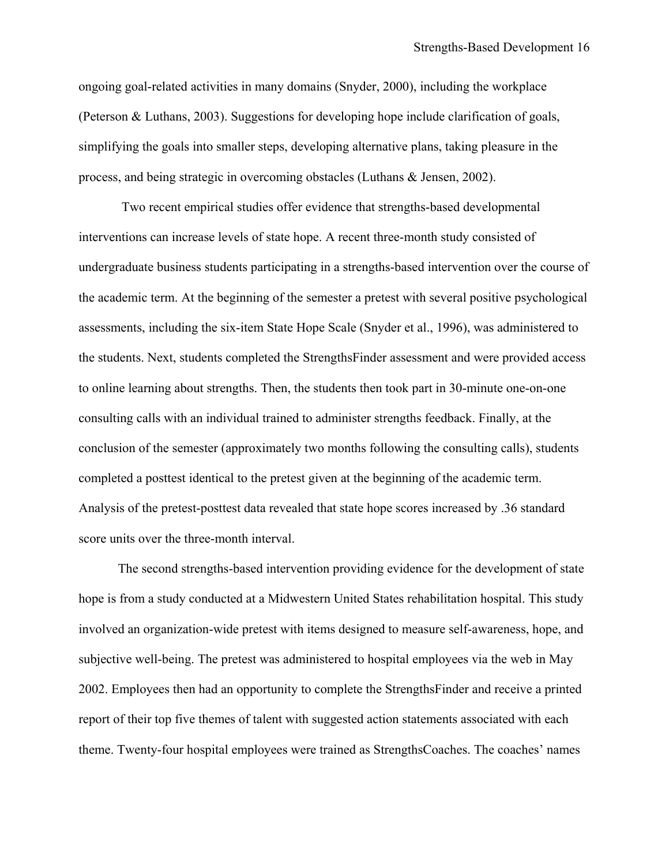ongoing goal-related activities in many domains (Snyder, 2000), including the workplace (Peterson & Luthans, 2003). Suggestions for developing hope include clarification of goals, simplifying the goals into smaller steps, developing alternative plans, taking pleasure in the process, and being strategic in overcoming obstacles (Luthans & Jensen, 2002).

Two recent empirical studies offer evidence that strengths-based developmental interventions can increase levels of state hope. A recent three-month study consisted of undergraduate business students participating in a strengths-based intervention over the course of the academic term. At the beginning of the semester a pretest with several positive psychological assessments, including the six-item State Hope Scale (Snyder et al., 1996), was administered to the students. Next, students completed the StrengthsFinder assessment and were provided access to online learning about strengths. Then, the students then took part in 30-minute one-on-one consulting calls with an individual trained to administer strengths feedback. Finally, at the conclusion of the semester (approximately two months following the consulting calls), students completed a posttest identical to the pretest given at the beginning of the academic term. Analysis of the pretest-posttest data revealed that state hope scores increased by .36 standard score units over the three-month interval.

 The second strengths-based intervention providing evidence for the development of state hope is from a study conducted at a Midwestern United States rehabilitation hospital. This study involved an organization-wide pretest with items designed to measure self-awareness, hope, and subjective well-being. The pretest was administered to hospital employees via the web in May 2002. Employees then had an opportunity to complete the StrengthsFinder and receive a printed report of their top five themes of talent with suggested action statements associated with each theme. Twenty-four hospital employees were trained as StrengthsCoaches. The coaches' names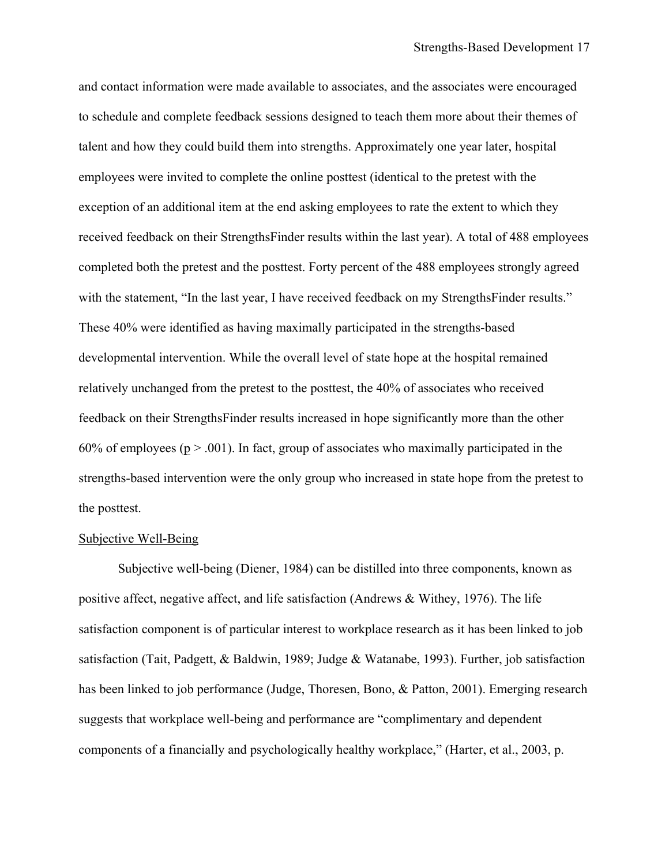and contact information were made available to associates, and the associates were encouraged to schedule and complete feedback sessions designed to teach them more about their themes of talent and how they could build them into strengths. Approximately one year later, hospital employees were invited to complete the online posttest (identical to the pretest with the exception of an additional item at the end asking employees to rate the extent to which they received feedback on their StrengthsFinder results within the last year). A total of 488 employees completed both the pretest and the posttest. Forty percent of the 488 employees strongly agreed with the statement, "In the last year, I have received feedback on my StrengthsFinder results." These 40% were identified as having maximally participated in the strengths-based developmental intervention. While the overall level of state hope at the hospital remained relatively unchanged from the pretest to the posttest, the 40% of associates who received feedback on their StrengthsFinder results increased in hope significantly more than the other 60% of employees ( $p > .001$ ). In fact, group of associates who maximally participated in the strengths-based intervention were the only group who increased in state hope from the pretest to the posttest.

#### Subjective Well-Being

Subjective well-being (Diener, 1984) can be distilled into three components, known as positive affect, negative affect, and life satisfaction (Andrews & Withey, 1976). The life satisfaction component is of particular interest to workplace research as it has been linked to job satisfaction (Tait, Padgett, & Baldwin, 1989; Judge & Watanabe, 1993). Further, job satisfaction has been linked to job performance (Judge, Thoresen, Bono, & Patton, 2001). Emerging research suggests that workplace well-being and performance are "complimentary and dependent components of a financially and psychologically healthy workplace," (Harter, et al., 2003, p.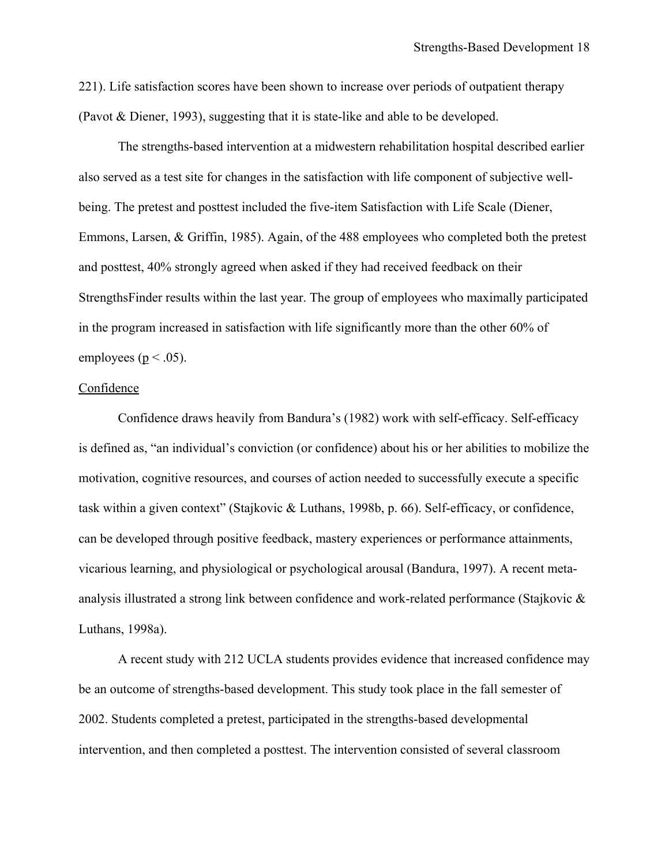221). Life satisfaction scores have been shown to increase over periods of outpatient therapy (Pavot & Diener, 1993), suggesting that it is state-like and able to be developed.

 The strengths-based intervention at a midwestern rehabilitation hospital described earlier also served as a test site for changes in the satisfaction with life component of subjective wellbeing. The pretest and posttest included the five-item Satisfaction with Life Scale (Diener, Emmons, Larsen, & Griffin, 1985). Again, of the 488 employees who completed both the pretest and posttest, 40% strongly agreed when asked if they had received feedback on their StrengthsFinder results within the last year. The group of employees who maximally participated in the program increased in satisfaction with life significantly more than the other 60% of employees ( $p < .05$ ).

### Confidence

Confidence draws heavily from Bandura's (1982) work with self-efficacy. Self-efficacy is defined as, "an individual's conviction (or confidence) about his or her abilities to mobilize the motivation, cognitive resources, and courses of action needed to successfully execute a specific task within a given context" (Stajkovic & Luthans, 1998b, p. 66). Self-efficacy, or confidence, can be developed through positive feedback, mastery experiences or performance attainments, vicarious learning, and physiological or psychological arousal (Bandura, 1997). A recent metaanalysis illustrated a strong link between confidence and work-related performance (Stajkovic & Luthans, 1998a).

 A recent study with 212 UCLA students provides evidence that increased confidence may be an outcome of strengths-based development. This study took place in the fall semester of 2002. Students completed a pretest, participated in the strengths-based developmental intervention, and then completed a posttest. The intervention consisted of several classroom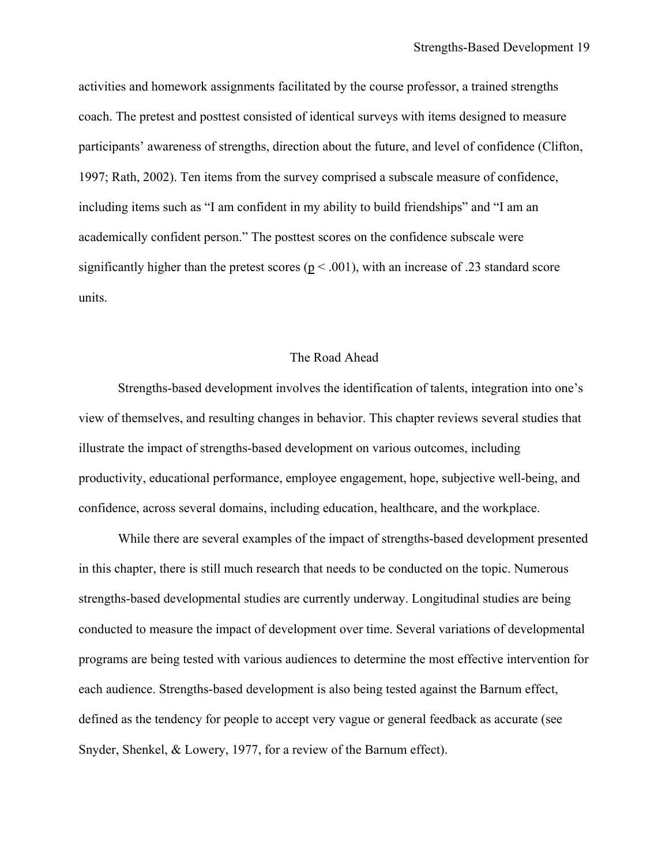activities and homework assignments facilitated by the course professor, a trained strengths coach. The pretest and posttest consisted of identical surveys with items designed to measure participants' awareness of strengths, direction about the future, and level of confidence (Clifton, 1997; Rath, 2002). Ten items from the survey comprised a subscale measure of confidence, including items such as "I am confident in my ability to build friendships" and "I am an academically confident person." The posttest scores on the confidence subscale were significantly higher than the pretest scores ( $p < .001$ ), with an increase of .23 standard score units.

#### The Road Ahead

Strengths-based development involves the identification of talents, integration into one's view of themselves, and resulting changes in behavior. This chapter reviews several studies that illustrate the impact of strengths-based development on various outcomes, including productivity, educational performance, employee engagement, hope, subjective well-being, and confidence, across several domains, including education, healthcare, and the workplace.

While there are several examples of the impact of strengths-based development presented in this chapter, there is still much research that needs to be conducted on the topic. Numerous strengths-based developmental studies are currently underway. Longitudinal studies are being conducted to measure the impact of development over time. Several variations of developmental programs are being tested with various audiences to determine the most effective intervention for each audience. Strengths-based development is also being tested against the Barnum effect, defined as the tendency for people to accept very vague or general feedback as accurate (see Snyder, Shenkel, & Lowery, 1977, for a review of the Barnum effect).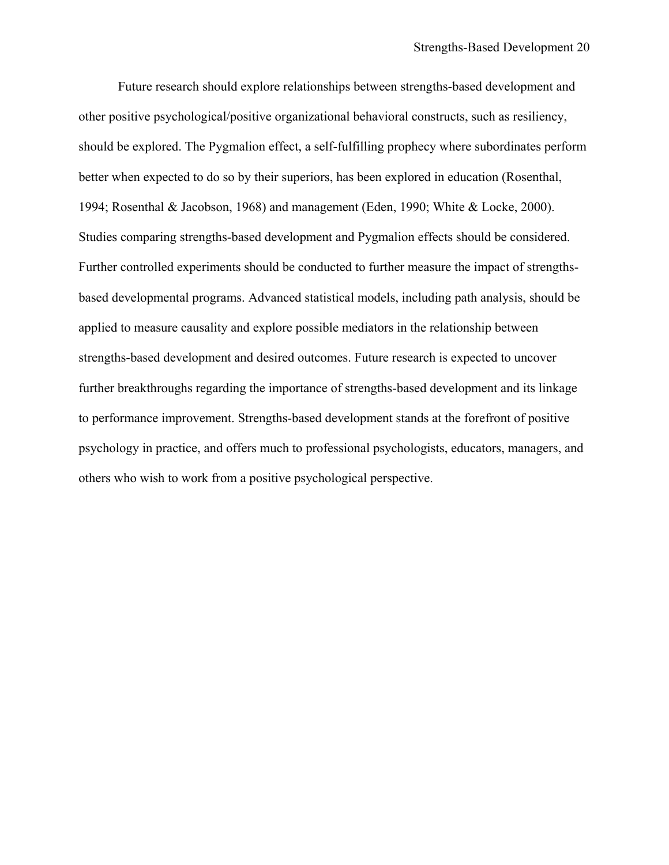Future research should explore relationships between strengths-based development and other positive psychological/positive organizational behavioral constructs, such as resiliency, should be explored. The Pygmalion effect, a self-fulfilling prophecy where subordinates perform better when expected to do so by their superiors, has been explored in education (Rosenthal, 1994; Rosenthal & Jacobson, 1968) and management (Eden, 1990; White & Locke, 2000). Studies comparing strengths-based development and Pygmalion effects should be considered. Further controlled experiments should be conducted to further measure the impact of strengthsbased developmental programs. Advanced statistical models, including path analysis, should be applied to measure causality and explore possible mediators in the relationship between strengths-based development and desired outcomes. Future research is expected to uncover further breakthroughs regarding the importance of strengths-based development and its linkage to performance improvement. Strengths-based development stands at the forefront of positive psychology in practice, and offers much to professional psychologists, educators, managers, and others who wish to work from a positive psychological perspective.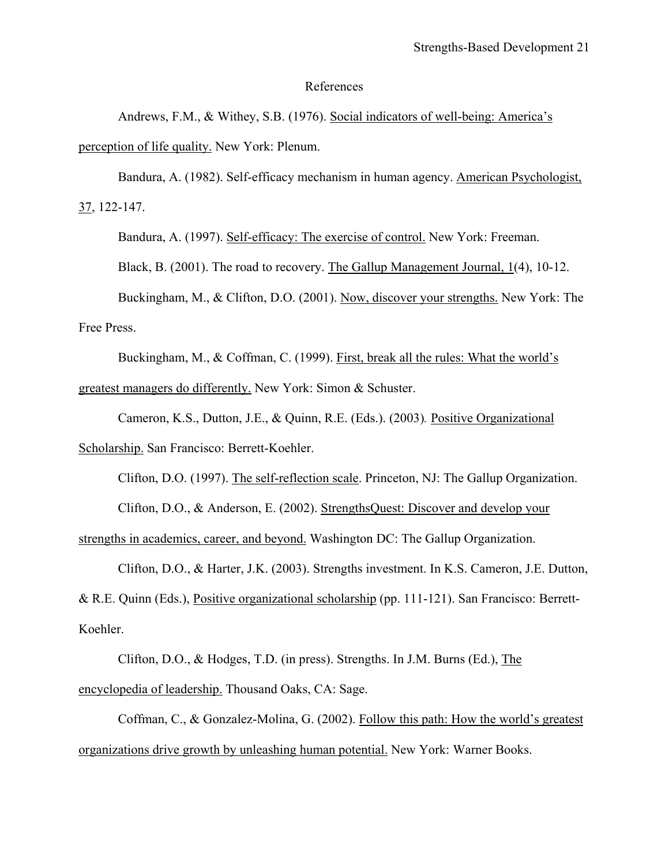#### References

Andrews, F.M., & Withey, S.B. (1976). Social indicators of well-being: America's perception of life quality. New York: Plenum.

Bandura, A. (1982). Self-efficacy mechanism in human agency. American Psychologist, 37, 122-147.

Bandura, A. (1997). Self-efficacy: The exercise of control. New York: Freeman.

Black, B. (2001). The road to recovery. The Gallup Management Journal, 1(4), 10-12.

Buckingham, M., & Clifton, D.O. (2001). Now, discover your strengths. New York: The Free Press.

Buckingham, M., & Coffman, C. (1999). First, break all the rules: What the world's greatest managers do differently. New York: Simon & Schuster.

Cameron, K.S., Dutton, J.E., & Quinn, R.E. (Eds.). (2003)*.* Positive Organizational Scholarship. San Francisco: Berrett-Koehler.

Clifton, D.O. (1997). The self-reflection scale. Princeton, NJ: The Gallup Organization.

Clifton, D.O., & Anderson, E. (2002). StrengthsQuest: Discover and develop your

strengths in academics, career, and beyond. Washington DC: The Gallup Organization.

Clifton, D.O., & Harter, J.K. (2003). Strengths investment. In K.S. Cameron, J.E. Dutton, & R.E. Quinn (Eds.), Positive organizational scholarship (pp. 111-121). San Francisco: Berrett-Koehler.

Clifton, D.O., & Hodges, T.D. (in press). Strengths. In J.M. Burns (Ed.), The encyclopedia of leadership. Thousand Oaks, CA: Sage.

Coffman, C., & Gonzalez-Molina, G. (2002). Follow this path: How the world's greatest organizations drive growth by unleashing human potential. New York: Warner Books.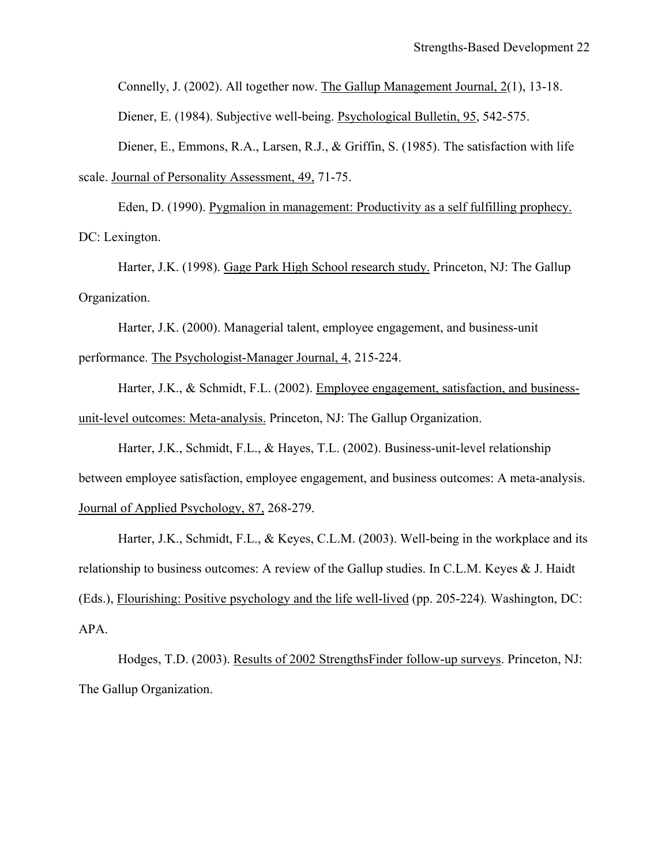Connelly, J. (2002). All together now. The Gallup Management Journal, 2(1), 13-18.

Diener, E. (1984). Subjective well-being. Psychological Bulletin, 95, 542-575.

Diener, E., Emmons, R.A., Larsen, R.J., & Griffin, S. (1985). The satisfaction with life scale. Journal of Personality Assessment, 49, 71-75.

Eden, D. (1990). Pygmalion in management: Productivity as a self fulfilling prophecy. DC: Lexington.

Harter, J.K. (1998). Gage Park High School research study. Princeton, NJ: The Gallup Organization.

Harter, J.K. (2000). Managerial talent, employee engagement, and business-unit performance. The Psychologist-Manager Journal, 4, 215-224.

Harter, J.K., & Schmidt, F.L. (2002). Employee engagement, satisfaction, and businessunit-level outcomes: Meta-analysis. Princeton, NJ: The Gallup Organization.

Harter, J.K., Schmidt, F.L., & Hayes, T.L. (2002). Business-unit-level relationship between employee satisfaction, employee engagement, and business outcomes: A meta-analysis. Journal of Applied Psychology, 87, 268-279.

Harter, J.K., Schmidt, F.L., & Keyes, C.L.M. (2003). Well-being in the workplace and its relationship to business outcomes: A review of the Gallup studies. In C.L.M. Keyes & J. Haidt (Eds.), Flourishing: Positive psychology and the life well-lived (pp. 205-224)*.* Washington, DC: APA.

Hodges, T.D. (2003). Results of 2002 StrengthsFinder follow-up surveys. Princeton, NJ: The Gallup Organization.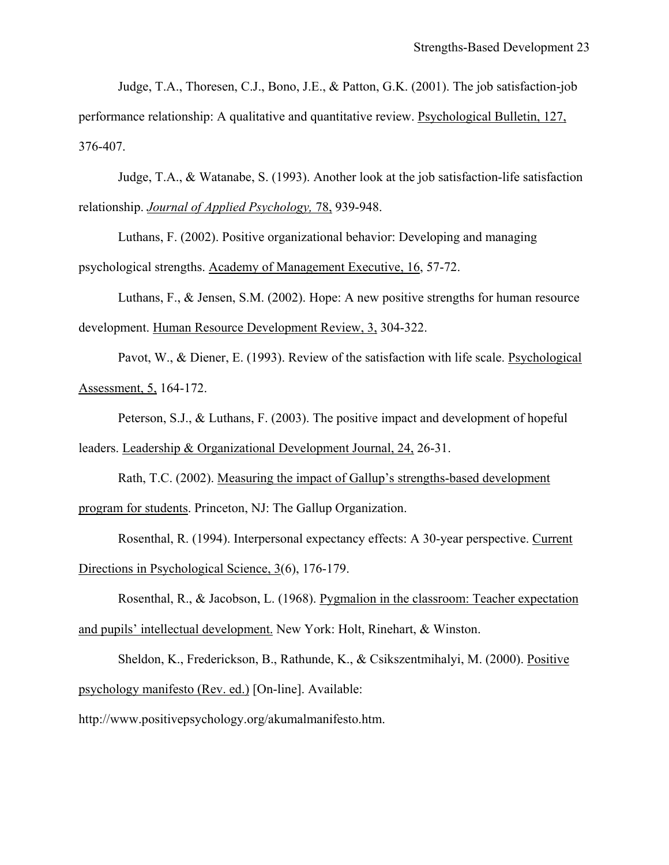Judge, T.A., Thoresen, C.J., Bono, J.E., & Patton, G.K. (2001). The job satisfaction-job performance relationship: A qualitative and quantitative review. Psychological Bulletin, 127, 376-407.

Judge, T.A., & Watanabe, S. (1993). Another look at the job satisfaction-life satisfaction relationship. *Journal of Applied Psychology,* 78, 939-948.

Luthans, F. (2002). Positive organizational behavior: Developing and managing psychological strengths. Academy of Management Executive, 16, 57-72.

Luthans, F., & Jensen, S.M. (2002). Hope: A new positive strengths for human resource development. Human Resource Development Review, 3, 304-322.

Pavot, W., & Diener, E. (1993). Review of the satisfaction with life scale. Psychological Assessment, 5, 164-172.

Peterson, S.J., & Luthans, F. (2003). The positive impact and development of hopeful leaders. Leadership & Organizational Development Journal, 24, 26-31.

Rath, T.C. (2002). Measuring the impact of Gallup's strengths-based development program for students. Princeton, NJ: The Gallup Organization.

Rosenthal, R. (1994). Interpersonal expectancy effects: A 30-year perspective. Current Directions in Psychological Science, 3(6), 176-179.

Rosenthal, R., & Jacobson, L. (1968). Pygmalion in the classroom: Teacher expectation and pupils' intellectual development. New York: Holt, Rinehart, & Winston.

Sheldon, K., Frederickson, B., Rathunde, K., & Csikszentmihalyi, M. (2000). Positive psychology manifesto (Rev. ed.) [On-line]. Available:

http://www.positivepsychology.org/akumalmanifesto.htm.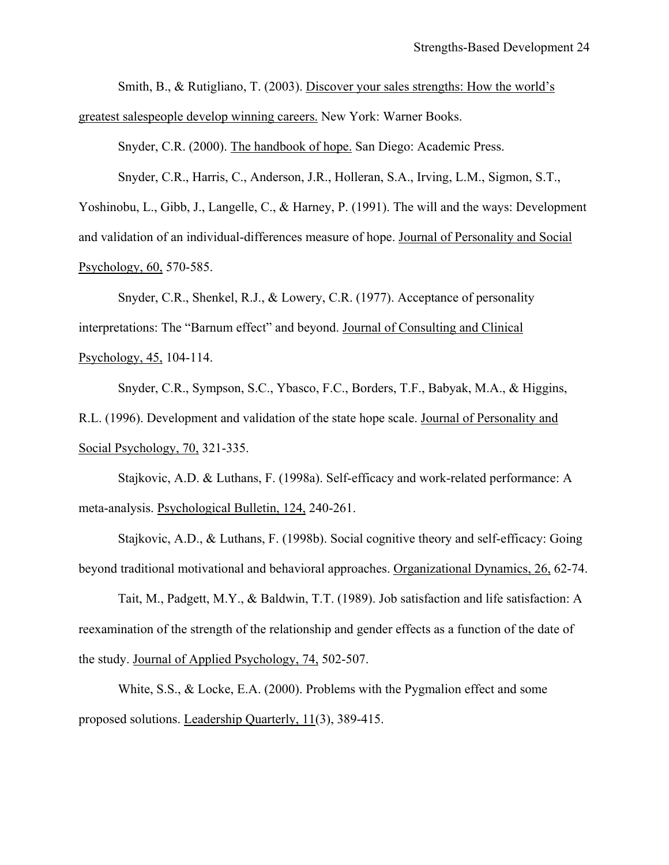Smith, B., & Rutigliano, T. (2003). Discover your sales strengths: How the world's

greatest salespeople develop winning careers. New York: Warner Books.

Snyder, C.R. (2000). The handbook of hope. San Diego: Academic Press.

Snyder, C.R., Harris, C., Anderson, J.R., Holleran, S.A., Irving, L.M., Sigmon, S.T.,

Yoshinobu, L., Gibb, J., Langelle, C., & Harney, P. (1991). The will and the ways: Development

and validation of an individual-differences measure of hope. Journal of Personality and Social

Psychology, 60, 570-585.

Snyder, C.R., Shenkel, R.J., & Lowery, C.R. (1977). Acceptance of personality interpretations: The "Barnum effect" and beyond. Journal of Consulting and Clinical Psychology, 45, 104-114.

Snyder, C.R., Sympson, S.C., Ybasco, F.C., Borders, T.F., Babyak, M.A., & Higgins, R.L. (1996). Development and validation of the state hope scale. Journal of Personality and Social Psychology, 70, 321-335.

Stajkovic, A.D. & Luthans, F. (1998a). Self-efficacy and work-related performance: A meta-analysis. Psychological Bulletin, 124, 240-261.

Stajkovic, A.D., & Luthans, F. (1998b). Social cognitive theory and self-efficacy: Going beyond traditional motivational and behavioral approaches. Organizational Dynamics, 26, 62-74.

Tait, M., Padgett, M.Y., & Baldwin, T.T. (1989). Job satisfaction and life satisfaction: A reexamination of the strength of the relationship and gender effects as a function of the date of the study. Journal of Applied Psychology, 74, 502-507.

White, S.S., & Locke, E.A. (2000). Problems with the Pygmalion effect and some proposed solutions. Leadership Quarterly, 11(3), 389-415.